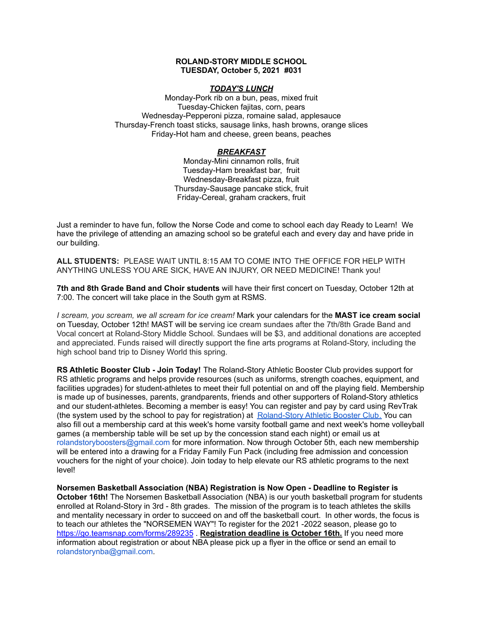## **ROLAND-STORY MIDDLE SCHOOL TUESDAY, October 5, 2021 #031**

## *TODAY'S LUNCH*

Monday-Pork rib on a bun, peas, mixed fruit Tuesday-Chicken fajitas, corn, pears Wednesday-Pepperoni pizza, romaine salad, applesauce Thursday-French toast sticks, sausage links, hash browns, orange slices Friday-Hot ham and cheese, green beans, peaches

## *BREAKFAST*

Monday-Mini cinnamon rolls, fruit Tuesday-Ham breakfast bar, fruit Wednesday-Breakfast pizza, fruit Thursday-Sausage pancake stick, fruit Friday-Cereal, graham crackers, fruit

Just a reminder to have fun, follow the Norse Code and come to school each day Ready to Learn! We have the privilege of attending an amazing school so be grateful each and every day and have pride in our building.

**ALL STUDENTS:** PLEASE WAIT UNTIL 8:15 AM TO COME INTO THE OFFICE FOR HELP WITH ANYTHING UNLESS YOU ARE SICK, HAVE AN INJURY, OR NEED MEDICINE! Thank you!

**7th and 8th Grade Band and Choir students** will have their first concert on Tuesday, October 12th at 7:00. The concert will take place in the South gym at RSMS.

*I scream, you scream, we all scream for ice cream!* Mark your calendars for the **MAST ice cream social** on Tuesday, October 12th! MAST will be serving ice cream sundaes after the 7th/8th Grade Band and Vocal concert at Roland-Story Middle School. Sundaes will be \$3, and additional donations are accepted and appreciated. Funds raised will directly support the fine arts programs at Roland-Story, including the high school band trip to Disney World this spring.

**RS Athletic Booster Club - Join Today!** The Roland-Story Athletic Booster Club provides support for RS athletic programs and helps provide resources (such as uniforms, strength coaches, equipment, and facilities upgrades) for student-athletes to meet their full potential on and off the playing field. Membership is made up of businesses, parents, grandparents, friends and other supporters of Roland-Story athletics and our student-athletes. Becoming a member is easy! You can register and pay by card using RevTrak (the system used by the school to pay for registration) at [Roland-Story](https://rolandstory.revtrak.net/Roland-Story-Athletic-Booster-Club/) Athletic Booster Club. You can also fill out a membership card at this week's home varsity football game and next week's home volleyball games (a membership table will be set up by the concession stand each night) or email us at rolandstoryboosters@gmail.com for more information. Now through October 5th, each new membership will be entered into a drawing for a Friday Family Fun Pack (including free admission and concession vouchers for the night of your choice). Join today to help elevate our RS athletic programs to the next level!

**Norsemen Basketball Association (NBA) Registration is Now Open - Deadline to Register is October 16th!** The Norsemen Basketball Association (NBA) is our youth basketball program for students enrolled at Roland-Story in 3rd - 8th grades. The mission of the program is to teach athletes the skills and mentality necessary in order to succeed on and off the basketball court. In other words, the f[o](https://go.teamsnap.com/forms/289235)cus is to teach our athletes the "NORSEMEN WAY"! To register for the 2021 -2022 season, please go to <https://go.teamsnap.com/forms/289235> . **Registration deadline is October 16th.** If you need more information about registration or about NBA please pick up a flyer in the office or send an email to rolandstorynba@gmail.com.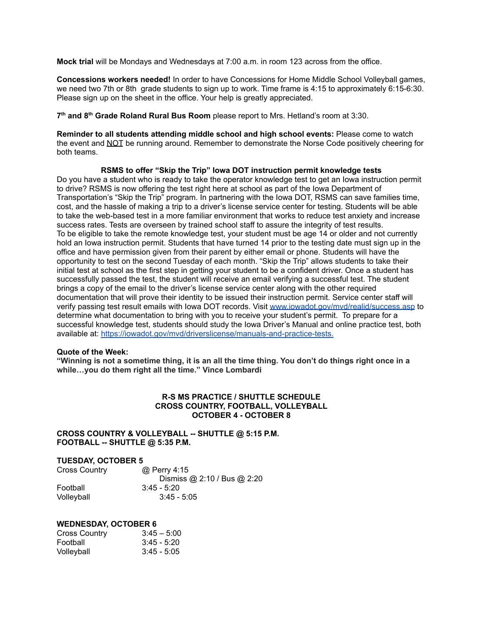**Mock trial** will be Mondays and Wednesdays at 7:00 a.m. in room 123 across from the office.

**Concessions workers needed!** In order to have Concessions for Home Middle School Volleyball games, we need two 7th or 8th grade students to sign up to work. Time frame is 4:15 to approximately 6:15-6:30. Please sign up on the sheet in the office. Your help is greatly appreciated.

**7 th and 8 th Grade Roland Rural Bus Room** please report to Mrs. Hetland's room at 3:30.

**Reminder to all students attending middle school and high school events:** Please come to watch the event and NOT be running around. Remember to demonstrate the Norse Code positively cheering for both teams.

## **RSMS to offer "Skip the Trip" Iowa DOT instruction permit knowledge tests**

Do you have a student who is ready to take the operator knowledge test to get an Iowa instruction permit to drive? RSMS is now offering the test right here at school as part of the Iowa Department of Transportation's "Skip the Trip" program. In partnering with the Iowa DOT, RSMS can save families time, cost, and the hassle of making a trip to a driver's license service center for testing. Students will be able to take the web-based test in a more familiar environment that works to reduce test anxiety and increase success rates. Tests are overseen by trained school staff to assure the integrity of test results. To be eligible to take the remote knowledge test, your student must be age 14 or older and not currently hold an Iowa instruction permit. Students that have turned 14 prior to the testing date must sign up in the office and have permission given from their parent by either email or phone. Students will have the opportunity to test on the second Tuesday of each month. "Skip the Trip" allows students to take their initial test at school as the first step in getting your student to be a confident driver. Once a student has successfully passed the test, the student will receive an email verifying a successful test. The student brings a copy of the email to the driver's license service center along with the other required documentation that will prove their identity to be issued their instruction permit. Service center staff will verify passing test result emails with Iowa DOT records. Visit [www.iowadot.gov/mvd/realid/success.asp](http://www.iowadot.gov/mvd/realid/success.asp) to determine what documentation to bring with you to receive your student's permit. To prepare for a successful knowledge test, students should study the Iowa Driver's Manual and online practice test, both available at: <https://iowadot.gov/mvd/driverslicense/manuals-and-practice-tests>.

## **Quote of the Week:**

"Winning is not a sometime thing, it is an all the time thing. You don't do things right once in a **while…you do them right all the time." Vince Lombardi**

## **R-S MS PRACTICE / SHUTTLE SCHEDULE CROSS COUNTRY, FOOTBALL, VOLLEYBALL OCTOBER 4 - OCTOBER 8**

#### **CROSS COUNTRY & VOLLEYBALL -- SHUTTLE @ 5:15 P.M. FOOTBALL -- SHUTTLE @ 5:35 P.M.**

## **TUESDAY, OCTOBER 5**

| <b>Cross Country</b> | @ Perry 4:15                |
|----------------------|-----------------------------|
|                      | Dismiss @ 2:10 / Bus @ 2:20 |
| Football             | $3:45 - 5:20$               |
| Volleyball           | $3:45 - 5:05$               |

#### **WEDNESDAY, OCTOBER 6**

| Cross Country | $3:45 - 5:00$ |
|---------------|---------------|
| Football      | $3:45 - 5:20$ |
| Volleyball    | $3:45 - 5:05$ |